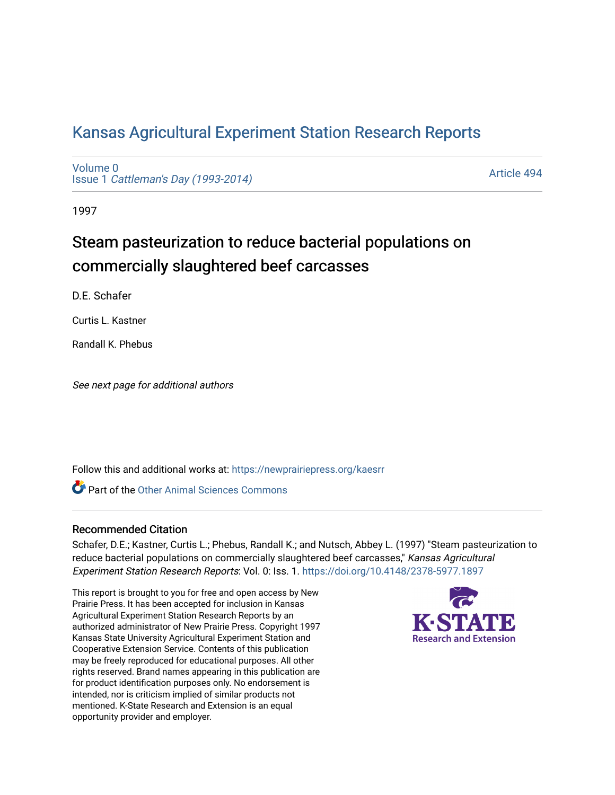# [Kansas Agricultural Experiment Station Research Reports](https://newprairiepress.org/kaesrr)

[Volume 0](https://newprairiepress.org/kaesrr/vol0) Issue 1 [Cattleman's Day \(1993-2014\)](https://newprairiepress.org/kaesrr/vol0/iss1) 

[Article 494](https://newprairiepress.org/kaesrr/vol0/iss1/494) 

1997

# Steam pasteurization to reduce bacterial populations on commercially slaughtered beef carcasses

D.E. Schafer

Curtis L. Kastner

Randall K. Phebus

See next page for additional authors

Follow this and additional works at: [https://newprairiepress.org/kaesrr](https://newprairiepress.org/kaesrr?utm_source=newprairiepress.org%2Fkaesrr%2Fvol0%2Fiss1%2F494&utm_medium=PDF&utm_campaign=PDFCoverPages) 

**C** Part of the [Other Animal Sciences Commons](http://network.bepress.com/hgg/discipline/82?utm_source=newprairiepress.org%2Fkaesrr%2Fvol0%2Fiss1%2F494&utm_medium=PDF&utm_campaign=PDFCoverPages)

#### Recommended Citation

Schafer, D.E.; Kastner, Curtis L.; Phebus, Randall K.; and Nutsch, Abbey L. (1997) "Steam pasteurization to reduce bacterial populations on commercially slaughtered beef carcasses," Kansas Agricultural Experiment Station Research Reports: Vol. 0: Iss. 1. <https://doi.org/10.4148/2378-5977.1897>

This report is brought to you for free and open access by New Prairie Press. It has been accepted for inclusion in Kansas Agricultural Experiment Station Research Reports by an authorized administrator of New Prairie Press. Copyright 1997 Kansas State University Agricultural Experiment Station and Cooperative Extension Service. Contents of this publication may be freely reproduced for educational purposes. All other rights reserved. Brand names appearing in this publication are for product identification purposes only. No endorsement is intended, nor is criticism implied of similar products not mentioned. K-State Research and Extension is an equal opportunity provider and employer.

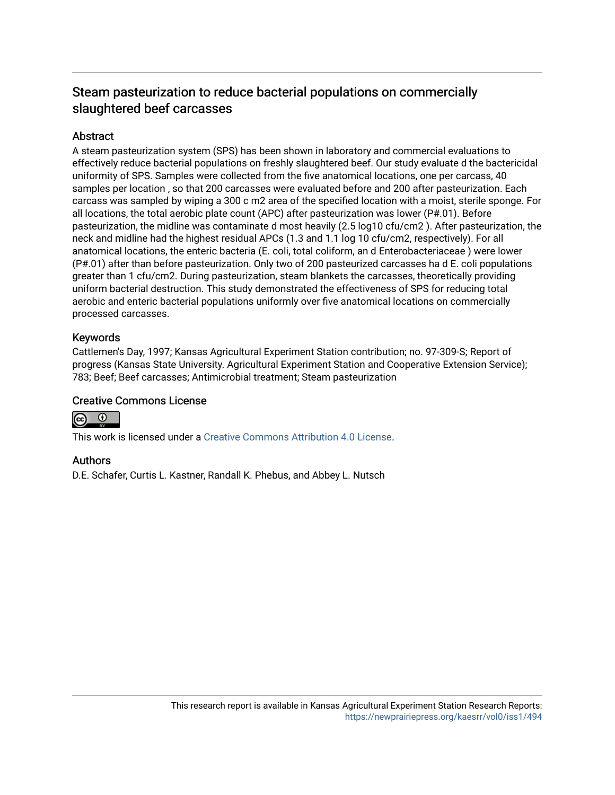## Steam pasteurization to reduce bacterial populations on commercially slaughtered beef carcasses

## **Abstract**

A steam pasteurization system (SPS) has been shown in laboratory and commercial evaluations to effectively reduce bacterial populations on freshly slaughtered beef. Our study evaluate d the bactericidal uniformity of SPS. Samples were collected from the five anatomical locations, one per carcass, 40 samples per location , so that 200 carcasses were evaluated before and 200 after pasteurization. Each carcass was sampled by wiping a 300 c m2 area of the specified location with a moist, sterile sponge. For all locations, the total aerobic plate count (APC) after pasteurization was lower (P#.01). Before pasteurization, the midline was contaminate d most heavily (2.5 log10 cfu/cm2 ). After pasteurization, the neck and midline had the highest residual APCs (1.3 and 1.1 log 10 cfu/cm2, respectively). For all anatomical locations, the enteric bacteria (E. coli, total coliform, an d Enterobacteriaceae ) were lower (P#.01) after than before pasteurization. Only two of 200 pasteurized carcasses ha d E. coli populations greater than 1 cfu/cm2. During pasteurization, steam blankets the carcasses, theoretically providing uniform bacterial destruction. This study demonstrated the effectiveness of SPS for reducing total aerobic and enteric bacterial populations uniformly over five anatomical locations on commercially processed carcasses.

## Keywords

Cattlemen's Day, 1997; Kansas Agricultural Experiment Station contribution; no. 97-309-S; Report of progress (Kansas State University. Agricultural Experiment Station and Cooperative Extension Service); 783; Beef; Beef carcasses; Antimicrobial treatment; Steam pasteurization

## Creative Commons License



This work is licensed under a [Creative Commons Attribution 4.0 License](https://creativecommons.org/licenses/by/4.0/).

## Authors

D.E. Schafer, Curtis L. Kastner, Randall K. Phebus, and Abbey L. Nutsch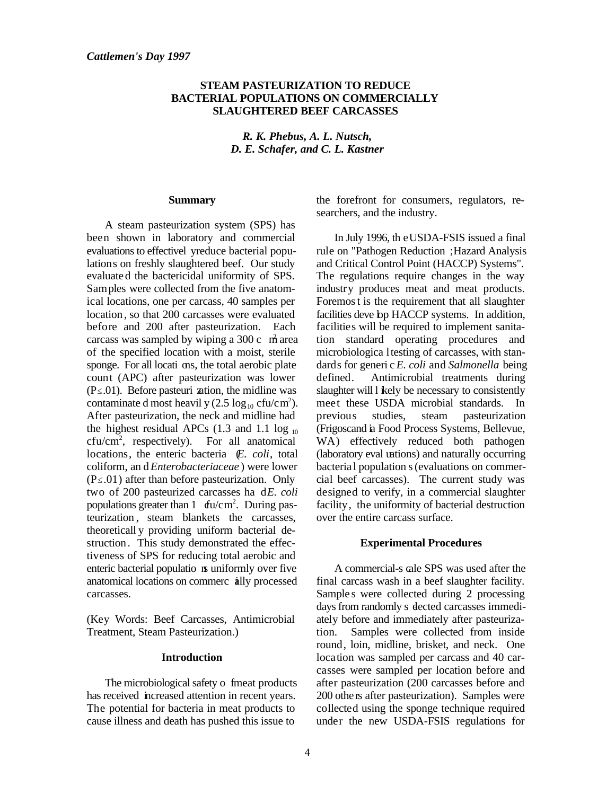#### **STEAM PASTEURIZATION TO REDUCE BACTERIAL POPULATIONS ON COMMERCIALLY SLAUGHTERED BEEF CARCASSES**

*R. K. Phebus, A. L. Nutsch, D. E. Schafer, and C. L. Kastner*

#### **Summary**

A steam pasteurization system (SPS) has been shown in laboratory and commercial evaluations to effectivel yreduce bacterial populations on freshly slaughtered beef. Our study evaluate d the bactericidal uniformity of SPS. Samples were collected from the five anatomical locations, one per carcass, 40 samples per location , so that 200 carcasses were evaluated before and 200 after pasteurization. Each carcass was sampled by wiping a  $300 \text{ c}$  m area of the specified location with a moist, sterile sponge. For all locati ons, the total aerobic plate count (APC) after pasteurization was lower  $(P \le 0.01)$ . Before pasteuri zation, the midline was contaminate d most heavil y  $(2.5 \log_{10} c \text{fu/cm}^2)$ . After pasteurization, the neck and midline had the highest residual APCs  $(1.3 \text{ and } 1.1 \text{ log }_{10})$  $cfu/cm<sup>2</sup>$ , respectively). For all anatomical locations, the enteric bacteria (*E. coli*, total coliform, an d *Enterobacteriaceae* ) were lower  $(P \le .01)$  after than before pasteurization. Only two of 200 pasteurized carcasses ha dE. coli populations greater than  $1 \text{ du/cm}^2$ . During pasteurization , steam blankets the carcasses, theoreticall y providing uniform bacterial destruction. This study demonstrated the effectiveness of SPS for reducing total aerobic and enteric bacterial populatio ns uniformly over five anatomical locations on commerc ially processed carcasses.

(Key Words: Beef Carcasses, Antimicrobial Treatment, Steam Pasteurization.)

#### **Introduction**

The microbiological safety o fineat products has received increased attention in recent years. The potential for bacteria in meat products to cause illness and death has pushed this issue to

the forefront for consumers, regulators, researchers, and the industry.

In July 1996, th e USDA-FSIS issued a final rule on "Pathogen Reduction ; Hazard Analysis and Critical Control Point (HACCP) Systems". The regulations require changes in the way industry produces meat and meat products. Foremos t is the requirement that all slaughter facilities deve bp HACCP systems. In addition, facilities will be required to implement sanitation standard operating procedures and microbiologica l testing of carcasses, with standards for generi c *E. coli* and *Salmonella* being defined. Antimicrobial treatments during slaughter will l kely be necessary to consistently meet these USDA microbial standards. In previous studies, steam pasteurization (Frigoscand ia Food Process Systems, Bellevue, WA) effectively reduced both pathogen (laboratory eval uations) and naturally occurring bacteria l population s (evaluations on commercial beef carcasses). The current study was designed to verify, in a commercial slaughter facility, the uniformity of bacterial destruction over the entire carcass surface.

#### **Experimental Procedures**

A commercial-s cale SPS was used after the final carcass wash in a beef slaughter facility. Samples were collected during 2 processing days from randomly s dected carcasses immediately before and immediately after pasteurization. Samples were collected from inside round, loin, midline, brisket, and neck. One location was sampled per carcass and 40 carcasses were sampled per location before and after pasteurization (200 carcasses before and 200 othe rs after pasteurization). Samples were collected using the sponge technique required under the new USDA-FSIS regulations for